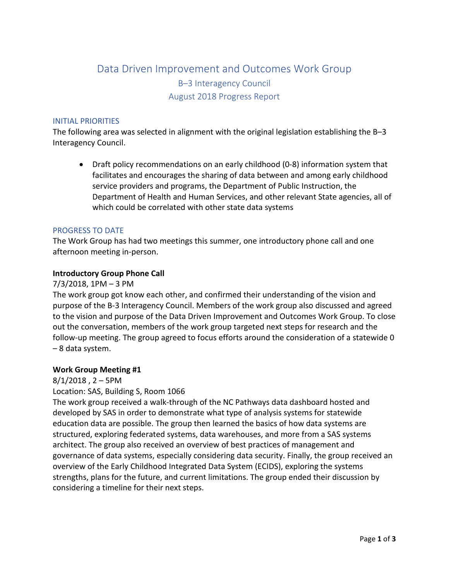# Data Driven Improvement and Outcomes Work Group B–3 Interagency Council August 2018 Progress Report

#### INITIAL PRIORITIES

The following area was selected in alignment with the original legislation establishing the B–3 Interagency Council.

• Draft policy recommendations on an early childhood (0-8) information system that facilitates and encourages the sharing of data between and among early childhood service providers and programs, the Department of Public Instruction, the Department of Health and Human Services, and other relevant State agencies, all of which could be correlated with other state data systems

## PROGRESS TO DATE

The Work Group has had two meetings this summer, one introductory phone call and one afternoon meeting in-person.

## **Introductory Group Phone Call**

#### 7/3/2018, 1PM – 3 PM

The work group got know each other, and confirmed their understanding of the vision and purpose of the B-3 Interagency Council. Members of the work group also discussed and agreed to the vision and purpose of the Data Driven Improvement and Outcomes Work Group. To close out the conversation, members of the work group targeted next steps for research and the follow-up meeting. The group agreed to focus efforts around the consideration of a statewide 0 – 8 data system.

#### **Work Group Meeting #1**

#### $8/1/2018$ , 2 – 5PM

#### Location: SAS, Building S, Room 1066

The work group received a walk-through of the NC Pathways data dashboard hosted and developed by SAS in order to demonstrate what type of analysis systems for statewide education data are possible. The group then learned the basics of how data systems are structured, exploring federated systems, data warehouses, and more from a SAS systems architect. The group also received an overview of best practices of management and governance of data systems, especially considering data security. Finally, the group received an overview of the Early Childhood Integrated Data System (ECIDS), exploring the systems strengths, plans for the future, and current limitations. The group ended their discussion by considering a timeline for their next steps.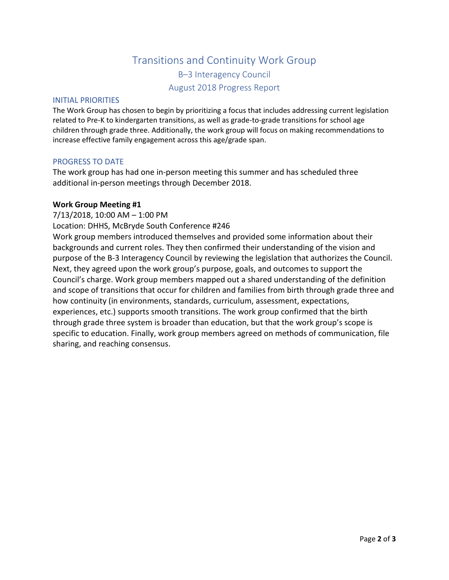# Transitions and Continuity Work Group B–3 Interagency Council August 2018 Progress Report

## INITIAL PRIORITIES

The Work Group has chosen to begin by prioritizing a focus that includes addressing current legislation related to Pre-K to kindergarten transitions, as well as grade-to-grade transitions for school age children through grade three. Additionally, the work group will focus on making recommendations to increase effective family engagement across this age/grade span.

## PROGRESS TO DATE

The work group has had one in-person meeting this summer and has scheduled three additional in-person meetings through December 2018.

## **Work Group Meeting #1**

7/13/2018, 10:00 AM – 1:00 PM

Location: DHHS, McBryde South Conference #246

Work group members introduced themselves and provided some information about their backgrounds and current roles. They then confirmed their understanding of the vision and purpose of the B-3 Interagency Council by reviewing the legislation that authorizes the Council. Next, they agreed upon the work group's purpose, goals, and outcomes to support the Council's charge. Work group members mapped out a shared understanding of the definition and scope of transitions that occur for children and families from birth through grade three and how continuity (in environments, standards, curriculum, assessment, expectations, experiences, etc.) supports smooth transitions. The work group confirmed that the birth through grade three system is broader than education, but that the work group's scope is specific to education. Finally, work group members agreed on methods of communication, file sharing, and reaching consensus.